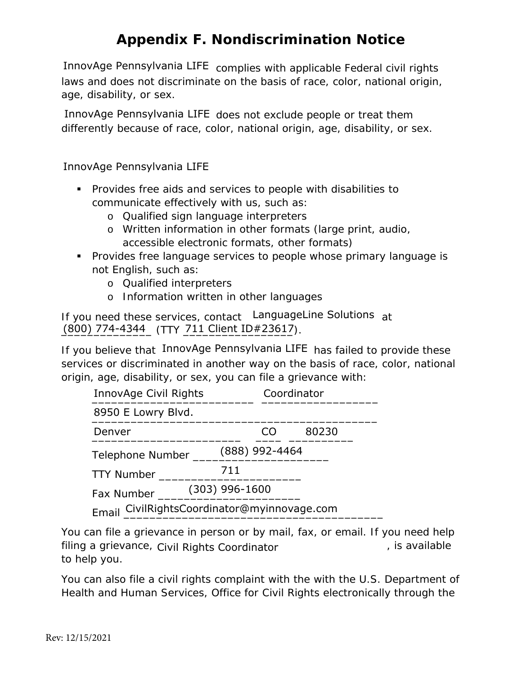InnovAge Pennsylvania LIFE complies with applicable Federal civil rights laws and does not discriminate on the basis of race, color, national origin, age, disability, or sex.

InnovAge Pennsylvania LIFE does not exclude people or treat them differently because of race, color, national origin, age, disability, or sex.

- Provides free aids and services to people with disabilities to communicate effectively with us, such as:
	- o Qualified sign language interpreters
	- o Written information in other formats (large print, audio, accessible electronic formats, other formats)
- **Provides free language services to people whose primary language is** not English, such as: InnovAge Pennsylvania LIFE<br>
• Provides free aids and services to people with disabiliti<br>
communicate effectively with us, such as:<br>
• Qualified sign language interpreters<br>
• Written information in other formats (large prin
	- o Qualified interpreters
	- o Information written in other languages

If you need these services, contact LanguageLine Solutions at (800) 774-4344 (TTY 711 Client ID#23617).

If you believe that InnovAge Pennsylvania LIFE has failed to provide these services or discriminated in another way on the basis of race, color, national origin, age, disability, or sex, you can file a grievance with:

| InnovAge Civil Rights                          |                  |    | Coordinator |  |
|------------------------------------------------|------------------|----|-------------|--|
| 8950 E Lowry Blvd.                             |                  |    |             |  |
| Denver                                         |                  | CO | 80230       |  |
| (888) 992-4464<br>Telephone Number             |                  |    |             |  |
| <b>TTY Number</b>                              | 711              |    |             |  |
| Fax Number                                     | $(303)$ 996-1600 |    |             |  |
| CivilRightsCoordinator@myinnovage.com<br>Email |                  |    |             |  |

You can file a grievance in person or by mail, fax, or email. If you need help filing a grievance, Civil Rights Coordinator The Context context of a statiable states and the state to help you.

You can also file a civil rights complaint with the with the U.S. Department of Health and Human Services, Office for Civil Rights electronically through the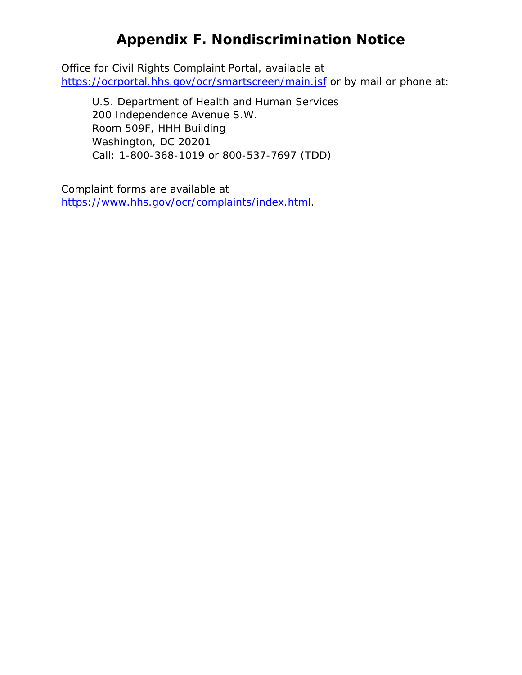Office for Civil Rights Complaint Portal, available at <https://ocrportal.hhs.gov/ocr/smartscreen/main.jsf> or by mail or phone at:

U.S. Department of Health and Human Services 200 Independence Avenue S.W. Room 509F, HHH Building Washington, DC 20201 Call: 1-800-368-1019 or 800-537-7697 (TDD)

Complaint forms are available at [https://www.hhs.gov/ocr/complaints/index.html.](https://www.hhs.gov/ocr/complaints/index.html)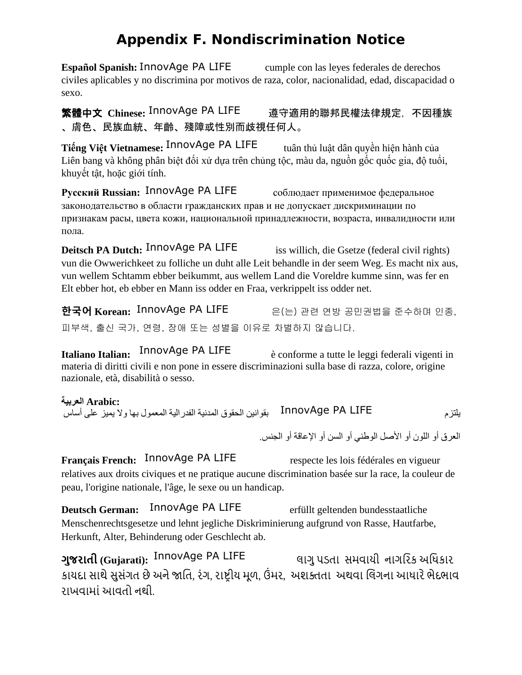**Español Spanish:** InnovAge PA LIFE cumple con las leyes federales de derechos civiles aplicables y no discrimina por motivos de raza, color, nacionalidad, edad, discapacidad o sexo. Español Spanish: InnovAge PA LIFE cumple con las leyes federales de derechos<br>civiles aplicables y no discrimina por motivos de raza, color, nacionalidad, edad, discapacidad c<br>sexo.<br>**繁體中文 Chinese:** InnovAge PA LIFE 遵守適用的

、膚色、民族血統、年齡、殘障或性別而歧視任何人。

**Tiếng Việt Vietnamese: InnovAge PA LIFE tuân thủ luật dân quyền hiện hành của** Liên bang và không phân biệt đối xử dựa trên chủng tộc, màu da, nguồn gốc quốc gia, độ tuổi, khuyết tật, hoặc giới tính.

Pусский Russian: InnovAge PA LIFE соблюдает применимое федеральное законодательство в области гражданских прав и не допускает дискриминации по признакам расы, цвета кожи, национальной принадлежности, возраста, инвалидности или пола.

**Deitsch PA Dutch:** InnovAge PA LIFE iss willich, die Gsetze (federal civil rights) vun die Owwerichkeet zu folliche un duht alle Leit behandle in der seem Weg. Es macht nix aus, vun wellem Schtamm ebber beikummt, aus wellem Land die Voreldre kumme sinn, was fer en Elt ebber hot, eb ebber en Mann iss odder en Fraa, verkrippelt iss odder net.

**한국어 Korean:** 은(는) 관련 연방 공민권법을 준수하며 인종, 피부색, 출신 국가, 연령, 장애 또는 성별을 이유로 차별하지 않습니다. 한국어 Korean: InnovAge PA LIFE

**Italiano Italian:** InnovAge PA LIFE enterpreed to the leggi federali vigenti in materia di diritti civili e non pone in essere discriminazioni sulla base di razza, colore, origine nazionale, età, disabilità o sesso.

 **:Arabic العربیة**

یلتزم بقوانین الحقوق المدنیة الفدرالیة المعمول بھا ولا یمیز على أساس InnovAge PA LIFE

العرق أو اللون أو الأصل الوطني أو السن أو الإعاقة أو الجنس.

**Français French:** InnovAge PA LIFE respecte les lois fédérales en vigueur relatives aux droits civiques et ne pratique aucune discrimination basée sur la race, la couleur de peau, l'origine nationale, l'âge, le sexe ou un handicap.

**Deutsch German:** InnovAge PA LIFE erfüllt geltenden bundesstaatliche Menschenrechtsgesetze und lehnt jegliche Diskriminierung aufgrund von Rasse, Hautfarbe, Herkunft, Alter, Behinderung oder Geschlecht ab. InnovAge PA LIFE

**ગુજરાતી (Gujarati): <sup>InnovAge PA LIFE** લાગુ પડતા સમવાયી નાગરિક અધિકાર</sup> કાયદા સાથે સુસંગત છે અને જાતિ, રંગ, રાષ્ટ્રીય મૂળ, ઉમર, અશક્તતા અથવા લિંગના આધારે ભેદભાવ રાખવામાં આવતો નથી.